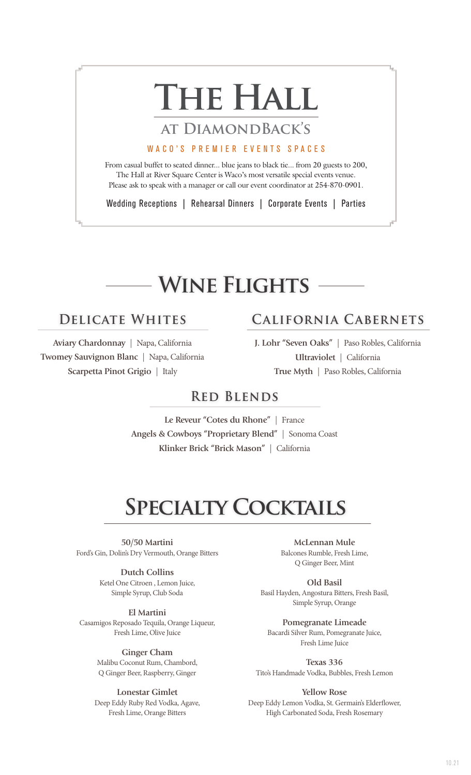# THE HALL

### **at DiamondBack's**

#### WACO'S PREMIER EVENTS SPACES

From casual buffet to seated dinner... blue jeans to black tie... from 20 guests to 200, The Hall at River Square Center is Waco's most versatile special events venue. Please ask to speak with a manager or call our event coordinator at 254-870-0901.

Wedding Receptions | Rehearsal Dinners | Corporate Events | Parties

# **Wine Flights**

### **Delicate Whites California Cabernets**

**Aviary Chardonnay** | Napa, California **Twomey Sauvignon Blanc** | Napa, California **Scarpetta Pinot Grigio** | Italy

**J. Lohr "Seven Oaks"** | Paso Robles, California

**Ultraviolet** | California **True Myth** | Paso Robles, California

### **Red Blends**

**Le Reveur "Cotes du Rhone"** | France **Angels & Cowboys "Proprietary Blend"** | Sonoma Coast **Klinker Brick "Brick Mason"** | California

# **Specialty Cocktails**

**50/50 Martini** Ford's Gin, Dolin's Dry Vermouth, Orange Bitters

> **Dutch Collins** Ketel One Citroen , Lemon Juice, Simple Syrup, Club Soda

**El Martini** Casamigos Reposado Tequila, Orange Liqueur, Fresh Lime, Olive Juice

> **Ginger Cham** Malibu Coconut Rum, Chambord, Q Ginger Beer, Raspberry, Ginger

#### **Lonestar Gimlet** Deep Eddy Ruby Red Vodka, Agave, Fresh Lime, Orange Bitters

**McLennan Mule** Balcones Rumble, Fresh Lime, Q Ginger Beer, Mint

**Old Basil** Basil Hayden, Angostura Bitters, Fresh Basil, Simple Syrup, Orange

**Pomegranate Limeade** Bacardi Silver Rum, Pomegranate Juice, Fresh Lime Juice

**Texas 336** Tito's Handmade Vodka, Bubbles, Fresh Lemon

**Yellow Rose** Deep Eddy Lemon Vodka, St. Germain's Elderflower, High Carbonated Soda, Fresh Rosemary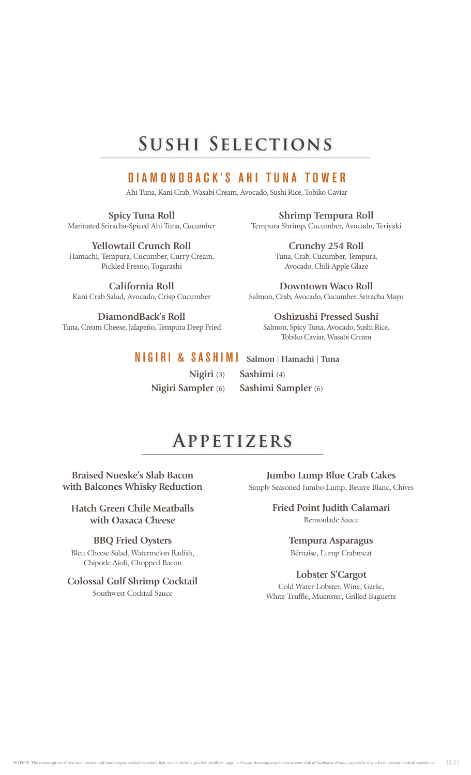## **Sushi Selections**

### DIAMONDBACK'S AHI TUNA TOWER

Ahi Tuna, Kani Crab, Wasabi Cream, Avocado, Sushi Rice, Tobiko Caviar

**Spicy Tuna Roll** Marinated Sriracha-Spiced Ahi Tuna, Cucumber

**Yellowtail Crunch Roll** Hamachi, Tempura, Cucumber, Curry Cream, Pickled Fresno, Togarashi

**California Roll** Kani Crab Salad, Avocado, Crisp Cucumber

**DiamondBack's Roll** Tuna, Cream Cheese, Jalapeño, Tempura Deep Fried

**Shrimp Tempura Roll** Tempura Shrimp, Cucumber, Avocado, Teriyaki

> **Crunchy 254 Roll** Tuna, Crab, Cucumber, Tempura, Avocado, Chili Apple Glaze

**Downtown Waco Roll** Salmon, Crab, Avocado, Cucumber, Sriracha Mayo

**Oshizushi Pressed Sushi** Salmon, Spicy Tuna, Avocado, Sushi Rice, Tobiko Caviar, Wasabi Cream

### NIGIRI & SASHIMI **Salmon | Hamachi | Tuna**

**Nigiri** (3)**Sashimi** (4) **Nigiri Sampler** (6)**Sashimi Sampler** (6)

### **Appetizers**

**Braised Nueske's Slab Bacon with Balcones Whisky Reduction**

**Hatch Green Chile Meatballs with Oaxaca Cheese**

#### **BBQ Fried Oysters**

Bleu Cheese Salad, Watermelon Radish, Chipotle Aioli, Chopped Bacon

#### **Colossal Gulf Shrimp Cocktail** Southwest Cocktail Sauce

**Jumbo Lump Blue Crab Cakes** Simply Seasoned Jumbo Lump, Beurre Blanc, Chives

> **Fried Point Judith Calamari** Remoulade Sauce

> > **Tempura Asparagus** Bérnaise, Lump Crabmeat

#### **Lobster S'Cargot**

Cold Water Lobster, Wine, Garlic, White Truffle, Muenster, Grilled Baguette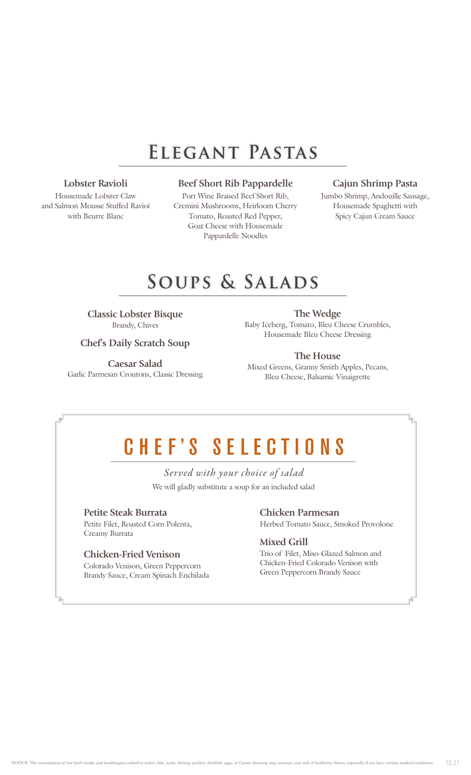# **Elegant Pastas**

**Lobster Ravioli**

Housemade Lobster Claw and Salmon Mousse Stuffed Ravioi with Beurre Blanc

#### **Beef Short Rib Pappardelle**

Port Wine Braised Beef Short Rib, Cremini Mushrooms, Heirloom Cherry Tomato, Roasted Red Pepper, Goat Cheese with Housemade Pappardelle Noodles

#### **Cajun Shrimp Pasta**

Jumbo Shrimp, Andouille Sausage, Housemade Spaghetti with Spicy Cajun Cream Sauce

### **Soups & Salads**

**Classic Lobster Bisque** Brandy, Chives

#### **Chef's Daily Scratch Soup**

**Caesar Salad** Garlic Parmesan Croutons, Classic Dressing

**The Wedge** Baby Iceberg, Tomato, Bleu Cheese Crumbles, Housemade Bleu Cheese Dressing

#### **The House** Mixed Greens, Granny Smith Apples, Pecans,

Bleu Cheese, Balsamic Vinaigrette

# CHEF'S SELECTIONS

We will gladly substitute a soup for an included salad *Served with your choice of salad*

#### **Petite Steak Burrata**

Petite Filet, Roasted Corn Polenta, Creamy Burrata

#### **Chicken-Fried Venison**

Colorado Venison, Green Peppercorn Brandy Sauce, Cream Spinach Enchilada

#### **Chicken Parmesan** Herbed Tomato Sauce, Smoked Provolone

**Mixed Grill**

Trio of Filet, Miso-Glazed Salmon and Chicken-Fried Colorado Venison with Green Peppercorn Brandy Sauce